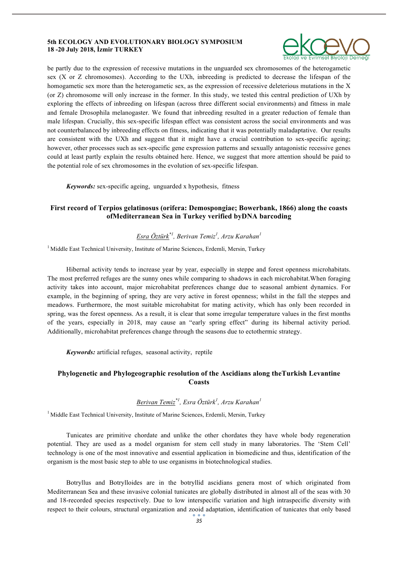#### **5th ECOLOGY AND EVOLUTIONARY BIOLOGY SYMPOSIUM 18 -20 July 2018, İzmir TURKEY**



be partly due to the expression of recessive mutations in the unguarded sex chromosomes of the heterogametic sex (X or Z chromosomes). According to the UXh, inbreeding is predicted to decrease the lifespan of the homogametic sex more than the heterogametic sex, as the expression of recessive deleterious mutations in the X (or Z) chromosome will only increase in the former. In this study, we tested this central prediction of UXh by exploring the effects of inbreeding on lifespan (across three different social environments) and fitness in male and female Drosophila melanogaster. We found that inbreeding resulted in a greater reduction of female than male lifespan. Crucially, this sex-specific lifespan effect was consistent across the social environments and was not counterbalanced by inbreeding effects on fitness, indicating that it was potentially maladaptative. Our results are consistent with the UXh and suggest that it might have a crucial contribution to sex-specific ageing; however, other processes such as sex-specific gene expression patterns and sexually antagonistic recessive genes could at least partly explain the results obtained here. Hence, we suggest that more attention should be paid to the potential role of sex chromosomes in the evolution of sex-specific lifespan.

*Keywords:* sex-specific ageing, unguarded x hypothesis, fitness

### **First record of Terpios gelatinosus (orifera: Demospongiae; Bowerbank, 1866) along the coasts ofMediterranean Sea in Turkey verified byDNA barcoding**

# *Esra Öztürk\*<sup>1</sup> , Berivan Temiz<sup>1</sup> , Arzu Karahan<sup>1</sup>*

<sup>1</sup> Middle East Technical University, Institute of Marine Sciences, Erdemli, Mersin, Turkey

Hibernal activity tends to increase year by year, especially in steppe and forest openness microhabitats. The most preferred refuges are the sunny ones while comparing to shadows in each microhabitat.When foraging activity takes into account, major microhabitat preferences change due to seasonal ambient dynamics. For example, in the beginning of spring, they are very active in forest openness; whilst in the fall the steppes and meadows. Furthermore, the most suitable microhabitat for mating activity, which has only been recorded in spring, was the forest openness. As a result, it is clear that some irregular temperature values in the first months of the years, especially in 2018, may cause an "early spring effect" during its hibernal activity period. Additionally, microhabitat preferences change through the seasons due to ectothermic strategy.

*Keywords:* artificial refuges, seasonal activity, reptile

# **Phylogenetic and Phylogeographic resolution of the Ascidians along theTurkish Levantine Coasts**

### *Berivan Temiz\*<sup>1</sup> , Esra Öztürk<sup>1</sup> , Arzu Karahan<sup>1</sup>*

<sup>1</sup> Middle East Technical University, Institute of Marine Sciences, Erdemli, Mersin, Turkey

Tunicates are primitive chordate and unlike the other chordates they have whole body regeneration potential. They are used as a model organism for stem cell study in many laboratories. The 'Stem Cell' technology is one of the most innovative and essential application in biomedicine and thus, identification of the organism is the most basic step to able to use organisms in biotechnological studies.

Botryllus and Botrylloides are in the botryllid ascidians genera most of which originated from Mediterranean Sea and these invasive colonial tunicates are globally distributed in almost all of the seas with 30 and 18-recorded species respectively. Due to low interspecific variation and high intraspecific diversity with respect to their colours, structural organization and zooid adaptation, identification of tunicates that only based